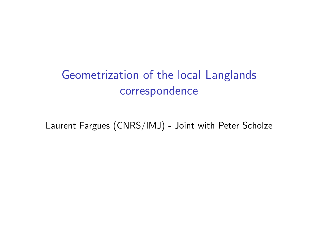# Geometrization of the local Langlands correspondence

Laurent Fargues (CNRS/IMJ) - Joint with Peter Scholze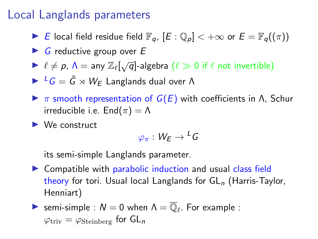## Local Langlands parameters

- ► E local field residue field  $\mathbb{F}_q$ ,  $[E:\mathbb{Q}_p] < +\infty$  or  $E = \mathbb{F}_q((\pi))$
- $\triangleright$  G reductive group over E
- $\triangleright \ell \neq p$ ,  $\Lambda = \text{any } \mathbb{Z}_{\ell}[\sqrt{q}]$ -algebra  $(\ell \gg 0 \text{ if } \ell \text{ not invertible})$

 $\triangleright$   $^L G = \hat{G} \rtimes W_F$  Langlands dual over  $\Lambda$ 

- $\triangleright$  π smooth representation of  $G(E)$  with coefficients in  $\Lambda$ , Schur irreducible i.e.  $\text{End}(\pi) = \Lambda$
- $\blacktriangleright$  We construct

$$
\varphi_{\pi}:\, W_{E}\to {}^L G
$$

its semi-simple Langlands parameter.

 $\triangleright$  Compatible with parabolic induction and usual class field theory for tori. Usual local Langlands for  $GL_n$  (Harris-Taylor, Henniart)

► semi-simple : 
$$
N = 0
$$
 when  $\Lambda = \overline{\mathbb{Q}}_{\ell}$ . For example :  $\varphi_{\text{triv}} = \varphi_{\text{Steinberg}}$  for  $GL_n$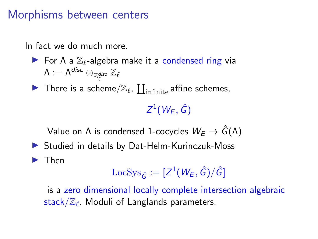### Morphisms between centers

In fact we do much more.

- For  $\Lambda$  a  $\mathbb{Z}_{\ell}$ -algebra make it a condensed ring via  $\mathsf{\Lambda}:=\mathsf{\Lambda}^{\mathsf{disc}}\otimes_{\mathbb{Z}_{\ell}^{\mathsf{disc}}}\mathbb{Z}_{\ell}$
- There is a scheme/ $\mathbb{Z}_{\ell}$ ,  $\coprod_{\text{infinite}}$  affine schemes,

 $Z^1(W_{E},\hat{G})$ 

Value on  $\Lambda$  is condensed 1-cocycles  $W_E \to \hat{G}(\Lambda)$ 

 $\triangleright$  Studied in details by Dat-Helm-Kurinczuk-Moss

#### $\blacktriangleright$  Then

$$
\operatorname{LocSys}_{\hat{G}}:=[Z^1(W_E,\hat{G})/\hat{G}]
$$

is a zero dimensional locally complete intersection algebraic  $\mathsf{stack}/\mathbb{Z}_\ell$ . Moduli of Langlands parameters.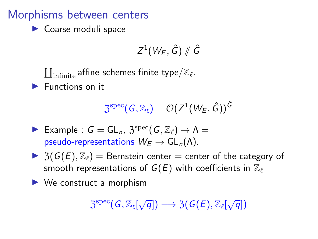### Morphisms between centers

 $\blacktriangleright$  Coarse moduli space

$$
Z^1(W_E,\hat{G})\# \hat{G}
$$

 $\coprod_{\text{infinite}}$  affine schemes finite type $/\mathbb{Z}_{\ell}$ .  $\blacktriangleright$  Functions on it

$$
\mathfrak{Z}^{\mathrm{spec}}(\mathsf{G},\mathbb{Z}_\ell)=\mathcal{O}(Z^1(W_{E},\hat{\mathsf{G}}))^{\hat{\mathsf{G}}}
$$

- Example :  $G = GL_n$ ,  $\mathfrak{Z}^{\text{spec}}(G, \mathbb{Z}_\ell) \to \Lambda =$ pseudo-representations  $W_F \to GL_n(\Lambda)$ .
- $\triangleright$  3( $G(E), \mathbb{Z}_{\ell}$ ) = Bernstein center = center of the category of smooth representations of  $G(E)$  with coefficients in  $\mathbb{Z}_{\ell}$
- $\blacktriangleright$  We construct a morphism

$$
\mathfrak{Z}^{\mathrm{spec}}(G,\mathbb{Z}_{\ell}[\sqrt{q}]) \longrightarrow \mathfrak{Z}(G(E),\mathbb{Z}_{\ell}[\sqrt{q}])
$$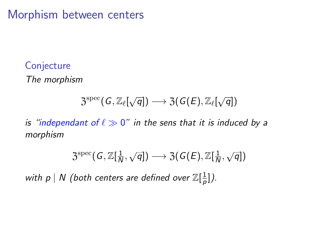Morphism between centers

#### **Conjecture**

The morphism

# $\mathfrak{Z}^{\text{spec}}(\mathsf{G}, \mathbb{Z}_{\ell}[\sqrt{q}]) \longrightarrow \mathfrak{Z}(\mathsf{G}(\mathsf{E}), \mathbb{Z}_{\ell}[\sqrt{q}])$

is "independant of  $\ell \gg 0$ " in the sens that it is induced by a morphism

$$
\mathfrak{Z}^{\mathrm{spec}}(\mathsf{G},\mathbb{Z}[\tfrac{1}{N},\sqrt{q}])\longrightarrow \mathfrak{Z}(\mathsf{G}(\mathsf{E}),\mathbb{Z}[\tfrac{1}{N},\sqrt{q}])
$$

with  $p \mid N$  (both centers are defined over  $\mathbb{Z}[\frac{1}{n}]$  $\frac{1}{p}$ ]).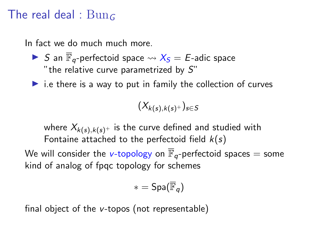### The real deal :  $Bun_G$

In fact we do much much more.

- S an  $\overline{\mathbb{F}}_a$ -perfectoid space  $\rightsquigarrow X_S = E$ -adic space "the relative curve parametrized by  $S$ "
- $\triangleright$  i.e there is a way to put in family the collection of curves

$$
(X_{k(s),k(s)^+})_{s\in S}
$$

where  $X_{k(s),k(s)^{+}}$  is the curve defined and studied with Fontaine attached to the perfectoid field  $k(s)$ 

We will consider the v-topology on  $\overline{\mathbb{F}}_q$ -perfectoid spaces = some kind of analog of fpqc topology for schemes

$$
*=\mathsf{Spa}(\overline{\mathbb{F}}_q)
$$

final object of the v-topos (not representable)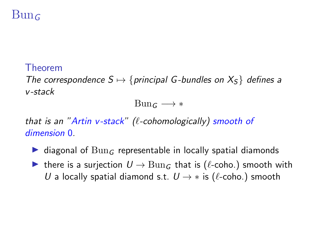# $Bun<sub>G</sub>$

#### Theorem

The correspondence  $S \mapsto \{principle of G-bundles on X<sub>S</sub>\}$  defines a v-stack

 $Bunc \longrightarrow *$ 

that is an "Artin v-stack" ( $\ell$ -cohomologically) smooth of dimension 0.

- ighthroal of  $Bun<sub>G</sub>$  representable in locally spatial diamonds
- **►** there is a surjection  $U \rightarrow \text{Bun}_G$  that is ( $\ell$ -coho.) smooth with U a locally spatial diamond s.t.  $U \rightarrow *$  is ( $\ell$ -coho.) smooth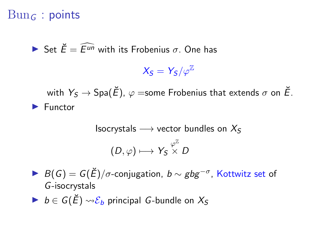## $Bun<sub>G</sub>$ : points

**In Set**  $\breve{F} = \widehat{F^{un}}$  **with its Frobenius**  $\sigma$ **. One has** 

 $X_{\mathcal{S}} = Y_{\mathcal{S}}/\varphi^{\mathbb{Z}}$ 

with  $Y_S \rightarrow \text{Spa}(\check{E})$ ,  $\varphi$  =some Frobenius that extends  $\sigma$  on  $\check{E}$ .  $\blacktriangleright$  Functor

Isocrystals 
$$
\longrightarrow
$$
 vector bundles on  $X_S$   
\n $(D, \varphi) \longmapsto Y_S \overset{\varphi^{\mathbb{Z}}}{\times} D$ 

 $B(G) = G(\breve{E})/\sigma$ -conjugation,  $b \sim gbg^{-\sigma}$ , Kottwitz set of G-isocrystals

 $\triangleright$   $b \in G(\breve{E}) \rightsquigarrow \mathcal{E}_b$  principal G-bundle on  $X_s$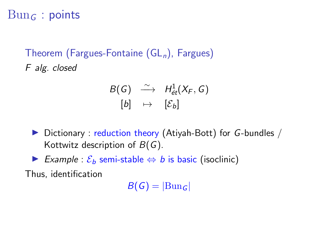# $Bun<sub>G</sub>$ : points

Theorem (Fargues-Fontaine  $(GL<sub>n</sub>)$ , Fargues) F alg. closed

$$
\begin{array}{ccc} B(G) & \stackrel{\sim}{\longrightarrow} & H^1_{\acute{e}t}(X_F, G) \\ \left[b\right] & \mapsto & \left[\mathcal{E}_b\right] \end{array}
$$

- $\triangleright$  Dictionary : reduction theory (Atiyah-Bott) for G-bundles / Kottwitz description of  $B(G)$ .
- ► Example :  $\mathcal{E}_b$  semi-stable  $\Leftrightarrow$  b is basic (isoclinic)

Thus, identification

 $B(G) = |Bun_G|$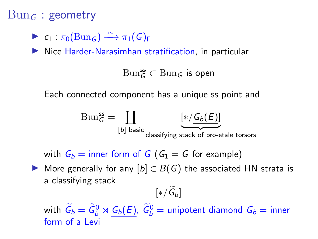#### $Bun<sub>G</sub>$ : geometry

$$
\blacktriangleright c_1 : \pi_0(\mathrm{Bun}_G) \xrightarrow{\sim} \pi_1(G)_{\Gamma}
$$

 $\blacktriangleright$  Nice Harder-Narasimhan stratification, in particular

 $\operatorname{Bun}^{\mathsf{ss}}_G \subset \operatorname{Bun}_G$  is open

Each connected component has a unique ss point and

$$
\text{Bun}_{G}^{\text{ss}} = \coprod_{[b] \text{ basic}} \underbrace{[*/ G_{b}(E)]}_{\text{classifying stack of pro-etale torsors}}
$$

with  $G_b =$  inner form of G ( $G_1 = G$  for example)

 $\triangleright$  More generally for any  $[b] \in B(G)$  the associated HN strata is a classifying stack

 $[*/ \mathsf{G}_b]$ with  $\widetilde{G}_b = \widetilde{G}_b^0 \rtimes \underline{G_b(E)}$ ,  $\widetilde{G}_b^0 =$  unipotent diamond  $G_b =$  inner form of a Levi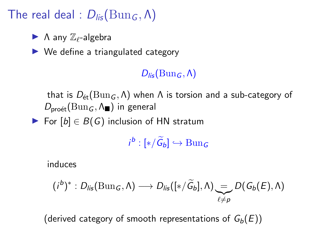# The real deal :  $D_{lis}(\text{Bun}_G, \Lambda)$

- $\blacktriangleright$   $\Lambda$  any  $\mathbb{Z}_{\ell}$ -algebra
- $\triangleright$  We define a triangulated category

 $D_{\text{lis}}(\text{Bun}_G, \Lambda)$ 

that is  $D_{\text{\'et}}(\text{Bun}_G, \Lambda)$  when Λ is torsion and a sub-category of  $D_{\text{pro\acute{e}t}}(\text{Bun}_G, \Lambda_{\blacksquare})$  in general

For  $[b] \in B(G)$  inclusion of HN stratum

 $i^b : [*/\widetilde{G}_b] \hookrightarrow \text{Bun}_G$ 

induces

$$
(i^b)^* : D_{lis}(\text{Bun}_G, \Lambda) \longrightarrow D_{lis}([*/\widetilde{G}_b], \Lambda) \underset{\ell \neq p}{\longrightarrow} D(G_b(E), \Lambda)
$$

(derived category of smooth representations of  $G_b(E)$ )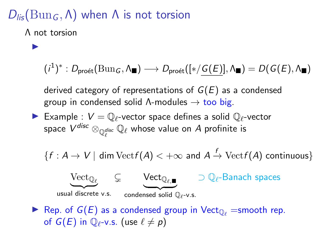# $D_{\text{lis}}(\text{Bun}_G, \Lambda)$  when  $\Lambda$  is not torsion

Λ not torsion

 $\blacktriangleright$ 

$$
(i^1)^*:D_{\mathsf{pro\acute{e}t}}(\mathbf{Bun}_G,\Lambda_{\blacksquare})\longrightarrow D_{\mathsf{pro\acute{e}t}}([\ast/\mathcal{\underline{G}}(\underline{E})],\Lambda_{\blacksquare})=D(\mathcal{\underline{G}}(\underline{E}),\Lambda_{\blacksquare})
$$

derived category of representations of  $G(E)$  as a condensed group in condensed solid  $\Lambda$ -modules  $\rightarrow$  too big.

Example :  $V = \mathbb{Q}_\ell$ -vector space defines a solid  $\mathbb{Q}_\ell$ -vector space  $V^{disc}\otimes_{\mathbb{Q}_\ell^{disc}}\mathbb{Q}_\ell$  whose value on  $A$  profinite is

 ${f : A \to V \mid \text{dim Vect} f(A) < +\infty \text{ and } A \stackrel{f}{\to} \text{Vect} f(A) \text{ continuous}}$ 



Rep. of  $G(E)$  as a condensed group in Vect<sub> $\mathbb{O}_\ell$ </sub> =smooth rep. of  $G(E)$  in  $\mathbb{O}_{\ell}$ -v.s. (use  $\ell \neq p$ )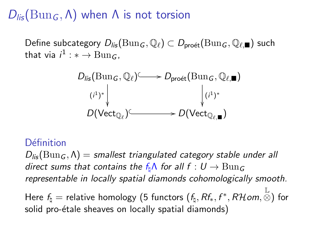# $D_{\text{lis}}(\text{Bun}_G, \Lambda)$  when  $\Lambda$  is not torsion

Define subcategory  $D_{\text{lis}}(\text{Bun}_G, \mathbb{Q}_\ell) \subset D_{\text{pro\acute{e}t}}(\text{Bun}_G, \mathbb{Q}_{\ell, \blacksquare})$  such that via  $i^1: * \rightarrow \text{Bun}_G$ ,

$$
D_{\text{lis}}(\text{Bun}_G, \mathbb{Q}_\ell) \longrightarrow D_{\text{pro\acute{e}t}}(\text{Bun}_G, \mathbb{Q}_{\ell, \blacksquare})
$$
\n
$$
(i^1)^* \downarrow \qquad \qquad \downarrow (i^1)^*
$$
\n
$$
D(\text{Vect}_{\mathbb{Q}_\ell}) \subseteq \longrightarrow D(\text{Vect}_{\mathbb{Q}_{\ell, \blacksquare}})
$$

#### Définition

 $D_{\text{lis}}(\text{Bun}_G, \Lambda) =$  smallest triangulated category stable under all direct sums that contains the f<sub>h</sub> $\Lambda$  for all f :  $U \rightarrow \text{Bun}_G$ representable in locally spatial diamonds cohomologically smooth.

Here  $\emph{f}_{\natural} =$  relative homology (5 functors  $(\emph{f}_{\natural}, \emph{Rf}_{*}, \emph{f}^{*}, \emph{R}\emph{Hom}, \stackrel{\mathbb{L}}{\otimes})$  for solid pro-étale sheaves on locally spatial diamonds)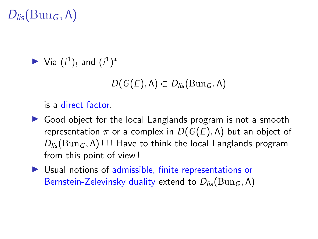# $D_{\text{lis}}(\text{Bun}_G, \Lambda)$

$$
\blacktriangleright
$$
 Via  $(i^1)$ <sub>!</sub> and  $(i^1)^*$ 

$$
D(G(E),\Lambda)\subset D_{\textup{lis}}(\mathrm{Bun}_G,\Lambda)
$$

is a direct factor.

- $\triangleright$  Good object for the local Langlands program is not a smooth representation  $\pi$  or a complex in  $D(G(E), \Lambda)$  but an object of  $D_{\text{lis}}(\text{Bun}_G, \Lambda)$ !!! Have to think the local Langlands program from this point of view !
- $\triangleright$  Usual notions of admissible, finite representations or Bernstein-Zelevinsky duality extend to  $D_{li5}(\text{Bun}_G, \Lambda)$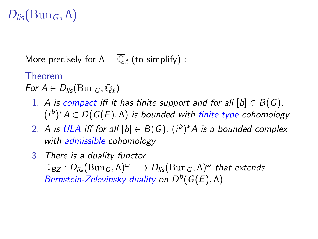# $D_{\text{lis}}(\text{Bun}_G, \Lambda)$

More precisely for  $\Lambda = \overline{\mathbb{Q}}_{\ell}$  (to simplify) :

#### Theorem

For  $A \in D_{\mathit{lis}}(\mathrm{Bun}_G, \overline{\mathbb{Q}}_\ell)$ 

- 1. A is compact iff it has finite support and for all  $[b] \in B(G)$ ,  $(i^b)^*A \in D(G(E), \Lambda)$  is bounded with finite type cohomology
- 2. A is ULA iff for all  $[b] \in B(G)$ ,  $(i^b)^*A$  is a bounded complex with admissible cohomology
- 3. There is a duality functor  $\mathbb{D}_{BZ} : D_{\mathit{lis}}(\operatorname{Bun}_G, \Lambda)^\omega \longrightarrow D_{\mathit{lis}}(\operatorname{Bun}_G, \Lambda)^\omega$  that extends Bernstein-Zelevinsky duality on  $D^b(G(E),\Lambda)$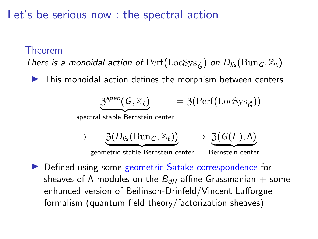Let's be serious now : the spectral action

#### Theorem

There is a monoidal action of  $\text{Perf}(\text{LocSys}_{\hat{c}})$  on  $D_{\text{lis}}(\text{Bun}_G, \mathbb{Z}_p)$ .

 $\blacktriangleright$  This monoidal action defines the morphism between centers

$$
\underbrace{3^{spec}(G,\mathbb{Z}_{\ell})}_{\text{spectral stable Bernstein center}} = 3(\text{Perf}(\text{LocSys}_{\hat{G}}))
$$
\n
$$
\rightarrow \underbrace{3(D_{lis}(\text{Bun}_G,\mathbb{Z}_{\ell}))}_{\text{geometric stable Bernstein center}} \rightarrow \underbrace{3(G(E),\Lambda)}_{\text{Bernstein center}}
$$

▶ Defined using some geometric Satake correspondence for sheaves of  $\Lambda$ -modules on the  $B_{dR}$ -affine Grassmanian  $+$  some enhanced version of Beilinson-Drinfeld/Vincent Lafforgue formalism (quantum field theory/factorization sheaves)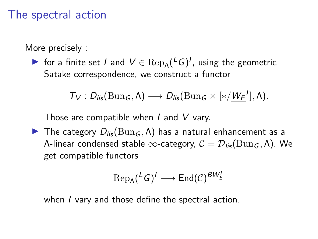## The spectral action

More precisely :

► for a finite set *I* and  $V \in \text{Rep}_{\Lambda}({}^L G)^I$ , using the geometric Satake correspondence, we construct a functor

$$
T_V: D_{\text{lis}}(\text{Bun}_G, \Lambda) \longrightarrow D_{\text{lis}}(\text{Bun}_G \times [\ast/\underline{W_E}^1], \Lambda).
$$

Those are compatible when  $I$  and  $V$  vary.

The category  $D_{\text{lis}}(\text{Bun}_G, \Lambda)$  has a natural enhancement as a Λ-linear condensed stable ∞-category,  $C = D_{li}(\text{Bun}_G, Λ)$ . We get compatible functors

$$
\text{Rep}_{\Lambda}({}^LG)^I\longrightarrow \text{End}(\mathcal{C})^{BW_E^I}
$$

when I vary and those define the spectral action.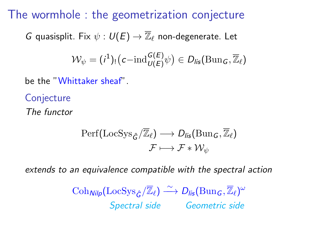The wormhole : the geometrization conjecture

G quasisplit. Fix  $\psi : U(E) \rightarrow \overline{\mathbb{Z}}_{\ell}$  non-degenerate. Let

$$
\mathcal{W}_{\psi} = (i^1)_! \big( c {-} \mathrm{ind}_{U(E)}^{G(E)} \psi \big) \in D_{\mathit{lis}}(\mathrm{Bun}_G, \overline{\mathbb{Z}}_{\ell})
$$

be the "Whittaker sheaf".

**Conjecture** The functor

$$
\begin{aligned} \operatorname{Perf}(\mathrm{LocSys}_{\hat{G}}/\overline{\mathbb{Z}}_{\ell}) &\longrightarrow D_{\mathit{lis}}(\mathrm{Bun}_{G},\overline{\mathbb{Z}}_{\ell}) \\ \mathcal{F} &\longmapsto \mathcal{F} * \mathcal{W}_{\psi} \end{aligned}
$$

extends to an equivalence compatible with the spectral action

 $\mathrm{Coh}_{\textit{Nilp}}(\mathrm{LocSys}_{\hat{G}}/\overline{\mathbb{Z}}_{\ell}) \stackrel{\sim}{\longrightarrow} D_{\textit{lis}}(\mathrm{Bun}_G,\overline{\mathbb{Z}}_{\ell})^{\omega}$ Spectral side Geometric side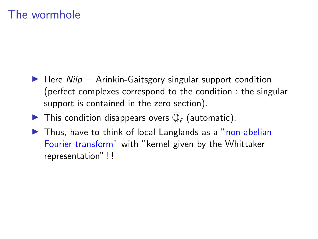# The wormhole

- $\blacktriangleright$  Here Nilp = Arinkin-Gaitsgory singular support condition (perfect complexes correspond to the condition : the singular support is contained in the zero section).
- $\blacktriangleright$  This condition disappears overs  $\overline{\mathbb{Q}}_{\ell}$  (automatic).
- $\blacktriangleright$  Thus, have to think of local Langlands as a "non-abelian Fourier transform" with "kernel given by the Whittaker representation" ! !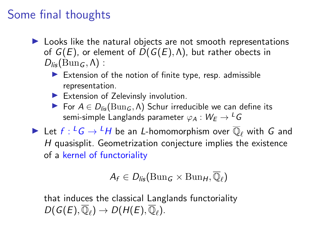# Some final thoughts

- $\blacktriangleright$  Looks like the natural objects are not smooth representations of  $G(E)$ , or element of  $D(G(E), \Lambda)$ , but rather obects in  $D_{\text{lis}}(\text{Bun}_G, \Lambda)$ :
	- Extension of the notion of finite type, resp. admissible representation.
	- $\blacktriangleright$  Extension of Zelevinsly involution.
	- **►** For  $A \in D_{lis}(\text{Bun}_G, \Lambda)$  Schur irreducible we can define its semi-simple Langlands parameter  $\varphi_A : W_F \to {}^L G$

 $\blacktriangleright$  Let  $f: {}^L G \to {}^L H$  be an L-homomorphism over  $\overline{\mathbb{Q}}_\ell$  with  $G$  and H quasisplit. Geometrization conjecture implies the existence of a kernel of functoriality

$$
A_f\in D_{\textit{lis}}(\mathrm{Bun}_G\times \mathrm{Bun}_H,\overline{\mathbb{Q}}_\ell)
$$

that induces the classical Langlands functoriality  $D(G(E), \overline{\mathbb{Q}}_{\ell}) \to D(H(E), \overline{\mathbb{Q}}_{\ell}).$